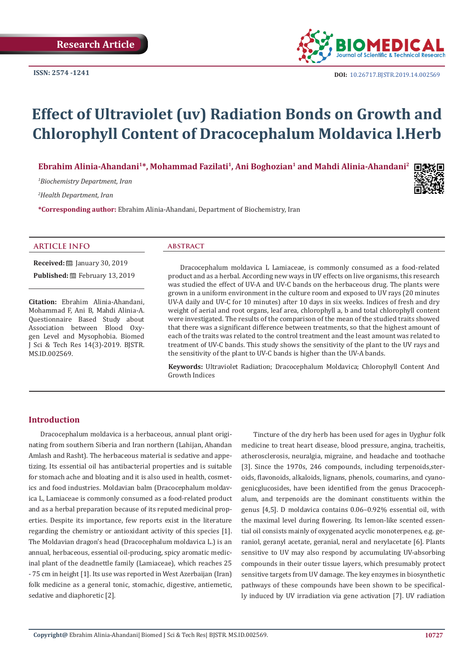

**DOI:** [10.26717.BJSTR.2019.14.0025](http://dx.doi.org/10.26717/BJSTR.2019.14.002569)69

# **Effect of Ultraviolet (uv) Radiation Bonds on Growth and Chlorophyll Content of Dracocephalum Moldavica l.Herb**

Ebrahim Alinia-Ahandani<sup>1\*</sup>, Mohammad Fazilati<sup>1</sup>, Ani Boghozian<sup>1</sup> and Mahdi Alinia-Ahandani<sup>2</sup>

*1 Biochemistry Department, Iran*

*2 Health Department, Iran*

**\*Corresponding author:** Ebrahim Alinia-Ahandani, Department of Biochemistry, Iran



#### **ARTICLE INFO abstract**

**Received:** ■ January 30, 2019 Published: **■**February 13, 2019

**Citation:** Ebrahim Alinia-Ahandani, Mohammad F, Ani B, Mahdi Alinia-A. Questionnaire Based Study about Association between Blood Oxygen Level and Mysophobia. Biomed J Sci & Tech Res 14(3)-2019. BJSTR. MS.ID.002569.

Dracocephalum moldavica L Lamiaceae, is commonly consumed as a food-related product and as a herbal. According new ways in UV effects on live organisms, this research was studied the effect of UV-A and UV-C bands on the herbaceous drug. The plants were grown in a uniform environment in the culture room and exposed to UV rays (20 minutes UV-A daily and UV-C for 10 minutes) after 10 days in six weeks. Indices of fresh and dry weight of aerial and root organs, leaf area, chlorophyll a, b and total chlorophyll content were investigated. The results of the comparison of the mean of the studied traits showed that there was a significant difference between treatments, so that the highest amount of each of the traits was related to the control treatment and the least amount was related to treatment of UV-C bands. This study shows the sensitivity of the plant to the UV rays and the sensitivity of the plant to UV-C bands is higher than the UV-A bands.

**Keywords:** Ultraviolet Radiation; Dracocephalum Moldavica; Chlorophyll Content And Growth Indices

### **Introduction**

Dracocephalum moldavica is a herbaceous, annual plant originating from southern Siberia and Iran northern (Lahijan, Ahandan Amlash and Rasht). The herbaceous material is sedative and appetizing. Its essential oil has antibacterial properties and is suitable for stomach ache and bloating and it is also used in health, cosmetics and food industries. Moldavian balm (Dracocephalum moldavica L, Lamiaceae is commonly consumed as a food-related product and as a herbal preparation because of its reputed medicinal properties. Despite its importance, few reports exist in the literature regarding the chemistry or antioxidant activity of this species [1]. The Moldavian dragon's head (Dracocephalum moldavica L.) is an annual, herbaceous, essential oil-producing, spicy aromatic medicinal plant of the deadnettle family (Lamiaceae), which reaches 25 - 75 cm in height [1]. Its use was reported in West Azerbaijan (Iran) folk medicine as a general tonic, stomachic, digestive, antiemetic, sedative and diaphoretic [2].

Tincture of the dry herb has been used for ages in Uyghur folk medicine to treat heart disease, blood pressure, angina, tracheitis, atherosclerosis, neuralgia, migraine, and headache and toothache [3]. Since the 1970s, 246 compounds, including terpenoids, steroids, flavonoids, alkaloids, lignans, phenols, coumarins, and cyanogenicglucosides, have been identified from the genus Dracocephalum, and terpenoids are the dominant constituents within the genus [4,5]. D moldavica contains 0.06–0.92% essential oil, with the maximal level during flowering. Its lemon-like scented essential oil consists mainly of oxygenated acyclic monoterpenes, e.g. geraniol, geranyl acetate, geranial, neral and nerylacetate [6]. Plants sensitive to UV may also respond by accumulating UV-absorbing compounds in their outer tissue layers, which presumably protect sensitive targets from UV damage. The key enzymes in biosynthetic pathways of these compounds have been shown to be specifically induced by UV irradiation via gene activation [7]. UV radiation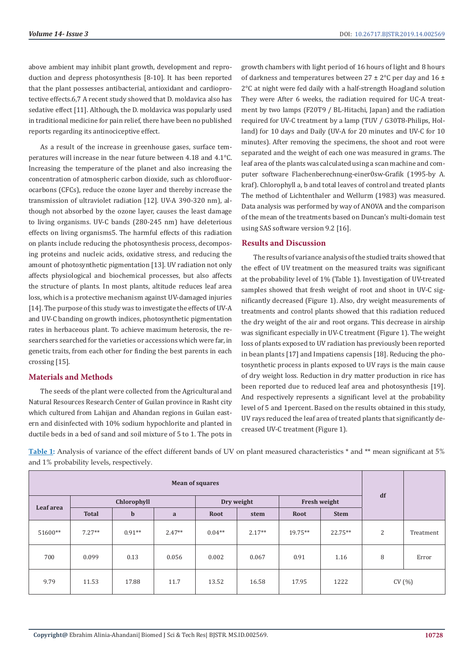above ambient may inhibit plant growth, development and reproduction and depress photosynthesis [8-10]. It has been reported that the plant possesses antibacterial, antioxidant and cardioprotective effects.6,7 A recent study showed that D. moldavica also has sedative effect [11]. Although, the D. moldavica was popularly used in traditional medicine for pain relief, there have been no published reports regarding its antinociceptive effect.

As a result of the increase in greenhouse gases, surface temperatures will increase in the near future between 4.18 and 4.1°C. Increasing the temperature of the planet and also increasing the concentration of atmospheric carbon dioxide, such as chlorofluorocarbons (CFCs), reduce the ozone layer and thereby increase the transmission of ultraviolet radiation [12]. UV-A 390-320 nm), although not absorbed by the ozone layer, causes the least damage to living organisms. UV-C bands (280-245 nm) have deleterious effects on living organisms5. The harmful effects of this radiation on plants include reducing the photosynthesis process, decomposing proteins and nucleic acids, oxidative stress, and reducing the amount of photosynthetic pigmentation [13]. UV radiation not only affects physiological and biochemical processes, but also affects the structure of plants. In most plants, altitude reduces leaf area loss, which is a protective mechanism against UV-damaged injuries [14]. The purpose of this study was to investigate the effects of UV-A and UV-C banding on growth indices, photosynthetic pigmentation rates in herbaceous plant. To achieve maximum heterosis, the researchers searched for the varieties or accessions which were far, in genetic traits, from each other for finding the best parents in each crossing [15].

### **Materials and Methods**

The seeds of the plant were collected from the Agricultural and Natural Resources Research Center of Guilan province in Rasht city which cultured from Lahijan and Ahandan regions in Guilan eastern and disinfected with 10% sodium hypochlorite and planted in ductile beds in a bed of sand and soil mixture of 5 to 1. The pots in growth chambers with light period of 16 hours of light and 8 hours of darkness and temperatures between  $27 \pm 2^{\circ}$ C per day and  $16 \pm$ 2°C at night were fed daily with a half-strength Hoagland solution They were After 6 weeks, the radiation required for UC-A treatment by two lamps (F20T9 / BL-Hitachi, Japan) and the radiation required for UV-C treatment by a lamp (TUV / G30T8-Philips, Holland) for 10 days and Daily (UV-A for 20 minutes and UV-C for 10 minutes). After removing the specimens, the shoot and root were separated and the weight of each one was measured in grams. The leaf area of the plants was calculated using a scan machine and computer software Flachenberechnung-einer0sw-Grafik (1995-by A. kraf). Chlorophyll a, b and total leaves of control and treated plants The method of Lichtenthaler and Wellurm (1983) was measured. Data analysis was performed by way of ANOVA and the comparison of the mean of the treatments based on Duncan's multi-domain test using SAS software version 9.2 [16].

#### **Results and Discussion**

The results of variance analysis of the studied traits showed that the effect of UV treatment on the measured traits was significant at the probability level of 1% (Table 1). Investigation of UV-treated samples showed that fresh weight of root and shoot in UV-C significantly decreased (Figure 1). Also, dry weight measurements of treatments and control plants showed that this radiation reduced the dry weight of the air and root organs. This decrease in airship was significant especially in UV-C treatment (Figure 1). The weight loss of plants exposed to UV radiation has previously been reported in bean plants [17] and Impatiens capensis [18]. Reducing the photosynthetic process in plants exposed to UV rays is the main cause of dry weight loss. Reduction in dry matter production in rice has been reported due to reduced leaf area and photosynthesis [19]. And respectively represents a significant level at the probability level of 5 and 1percent. Based on the results obtained in this study, UV rays reduced the leaf area of treated plants that significantly decreased UV-C treatment (Figure 1).

**Table 1:** Analysis of variance of the effect different bands of UV on plant measured characteristics \* and \*\* mean significant at 5% and 1% probability levels, respectively.

| <b>Mean of squares</b> |              |             |              |            |          |              |             |       |           |
|------------------------|--------------|-------------|--------------|------------|----------|--------------|-------------|-------|-----------|
| Leaf area              | Chlorophyll  |             |              | Dry weight |          | Fresh weight |             | df    |           |
|                        | <b>Total</b> | $\mathbf b$ | $\mathbf{a}$ | Root       | stem     | Root         | <b>Stem</b> |       |           |
| 51600**                | $7.27**$     | $0.91**$    | $2.47**$     | $0.04**$   | $2.17**$ | $19.75**$    | $22.75**$   | 2     | Treatment |
| 700                    | 0.099        | 0.13        | 0.056        | 0.002      | 0.067    | 0.91         | 1.16        | 8     | Error     |
| 9.79                   | 11.53        | 17.88       | 11.7         | 13.52      | 16.58    | 17.95        | 1222        | CV(%) |           |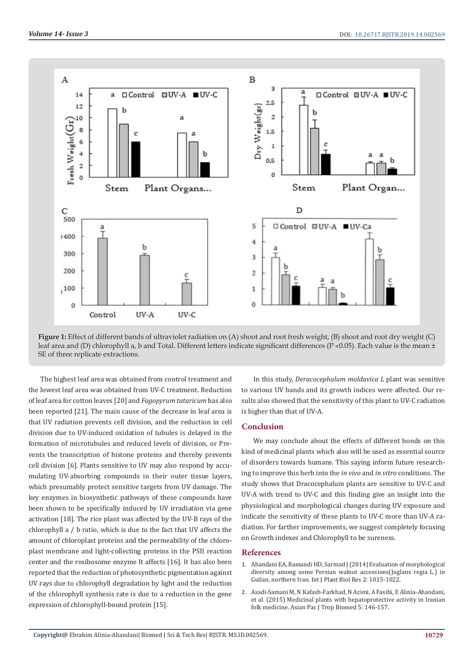

**Figure 1:** Effect of different bands of ultraviolet radiation on (A) shoot and root fresh weight, (B) shoot and root dry weight (C) leaf area and (D) chlorophyll a, b and Total. Different letters indicate significant differences (P <0.05). Each value is the mean  $\pm$ SE of three replicate extractions.

The highest leaf area was obtained from control treatment and the lowest leaf area was obtained from UV-C treatment. Reduction of leaf area for cotton leaves [20] and *Fagopyrum tataricum* has also been reported [21]. The main cause of the decrease in leaf area is that UV radiation prevents cell division, and the reduction in cell division due to UV-induced oxidation of tubules is delayed in the formation of microtubules and reduced levels of division, or Prevents the transcription of histone proteins and thereby prevents cell division [6]. Plants sensitive to UV may also respond by accumulating UV-absorbing compounds in their outer tissue layers, which presumably protect sensitive targets from UV damage. The key enzymes in biosynthetic pathways of these compounds have been shown to be specifically induced by UV irradiation via gene activation [18]. The rice plant was affected by the UV-B rays of the chlorophyll a / b ratio, which is due to the fact that UV affects the amount of chloroplast proteins and the permeability of the chloroplast membrane and light-collecting proteins in the PSII reaction center and the rosibosome enzyme It affects [16]. It has also been reported that the reduction of photosynthetic pigmentation against UV rays due to chlorophyll degradation by light and the reduction of the chlorophyll synthesis rate is due to a reduction in the gene expression of chlorophyll-bound protein [15].

In this study, *Deracocephalum moldavica L* plant was sensitive to various UV bands and its growth indices were affected. Our results also showed that the sensitivity of this plant to UV-C radiation is higher than that of UV-A.

#### **Conclusion**

We may conclude about the effects of different bonds on this kind of medicinal plants which also will be used as essential source of disorders towards humans. This saying inform future researching to improve this herb into the *in vivo* and *in vitro* conditions. The study shows that Dracocephalum plants are sensitive to UV-C and UV-A with trend to UV-C and this finding give an insight into the physiological and morphological changes during UV exposure and indicate the sensitivity of these plants to UV-C more than UV-A radiation. For farther improvements, we suggest completely focusing on Growth indexes and Chlorophyll to be sureness.

#### **References**

- 1. [Ahandani EA, Ramandi HD, Sarmad J \(2014\) Evaluation of morphological](https://www.researchgate.net/publication/265164807_Evaluation_of_Morphological_Diversity_among_Some_persian_Walnut_Accessions_Juglans_regia_L_in_Guilan_Northern_Iran) [diversity among some Persian walnut accessions\(Juglans regia L.\) in](https://www.researchgate.net/publication/265164807_Evaluation_of_Morphological_Diversity_among_Some_persian_Walnut_Accessions_Juglans_regia_L_in_Guilan_Northern_Iran) [Guilan, northern Iran. Int J Plant Biol Res 2: 1015-1022.](https://www.researchgate.net/publication/265164807_Evaluation_of_Morphological_Diversity_among_Some_persian_Walnut_Accessions_Juglans_regia_L_in_Guilan_Northern_Iran)
- 2. [Asadi-Samani M, N Kafash-Farkhad, N Azimi, A Fasihi, E Alinia-Ahandani,](https://www.sciencedirect.com/science/article/pii/S2221169115301593) [et al. \(2015\) Medicinal plants with hepatoprotective activity in Iranian](https://www.sciencedirect.com/science/article/pii/S2221169115301593) [folk medicine. Asian Pac J Trop Biomed 5: 146-157.](https://www.sciencedirect.com/science/article/pii/S2221169115301593)